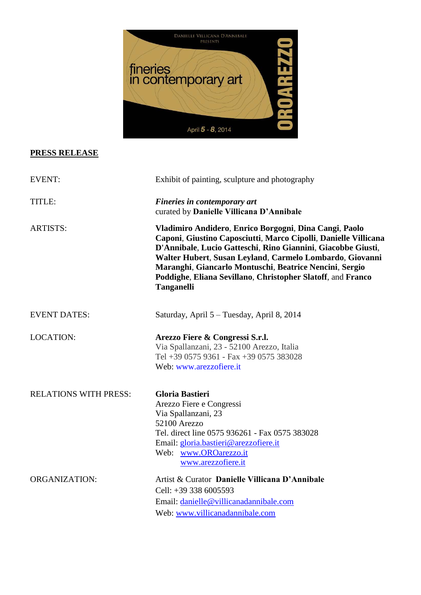

# **PRESS RELEASE**

| <b>EVENT:</b>                | Exhibit of painting, sculpture and photography                                                                                                                                                                                                                                                                                                                                                       |
|------------------------------|------------------------------------------------------------------------------------------------------------------------------------------------------------------------------------------------------------------------------------------------------------------------------------------------------------------------------------------------------------------------------------------------------|
| TITLE:                       | Fineries in contemporary art<br>curated by Danielle Villicana D'Annibale                                                                                                                                                                                                                                                                                                                             |
| <b>ARTISTS:</b>              | Vladimiro Andidero, Enrico Borgogni, Dina Cangi, Paolo<br>Caponi, Giustino Caposciutti, Marco Cipolli, Danielle Villicana<br>D'Annibale, Lucio Gatteschi, Rino Giannini, Giacobbe Giusti,<br>Walter Hubert, Susan Leyland, Carmelo Lombardo, Giovanni<br>Maranghi, Giancarlo Montuschi, Beatrice Nencini, Sergio<br>Poddighe, Eliana Sevillano, Christopher Slatoff, and Franco<br><b>Tanganelli</b> |
| <b>EVENT DATES:</b>          | Saturday, April 5 - Tuesday, April 8, 2014                                                                                                                                                                                                                                                                                                                                                           |
| <b>LOCATION:</b>             | Arezzo Fiere & Congressi S.r.l.<br>Via Spallanzani, 23 - 52100 Arezzo, Italia<br>Tel +39 0575 9361 - Fax +39 0575 383028<br>Web: www.arezzofiere.it                                                                                                                                                                                                                                                  |
| <b>RELATIONS WITH PRESS:</b> | <b>Gloria Bastieri</b><br>Arezzo Fiere e Congressi<br>Via Spallanzani, 23<br>52100 Arezzo<br>Tel. direct line 0575 936261 - Fax 0575 383028<br>Email: gloria.bastieri@arezzofiere.it<br>Web: www.OROarezzo.it<br>www.arezzofiere.it                                                                                                                                                                  |
| <b>ORGANIZATION:</b>         | Artist & Curator Danielle Villicana D'Annibale<br>Cell: $+393386005593$<br>Email: danielle@villicanadannibale.com<br>Web: www.villicanadannibale.com                                                                                                                                                                                                                                                 |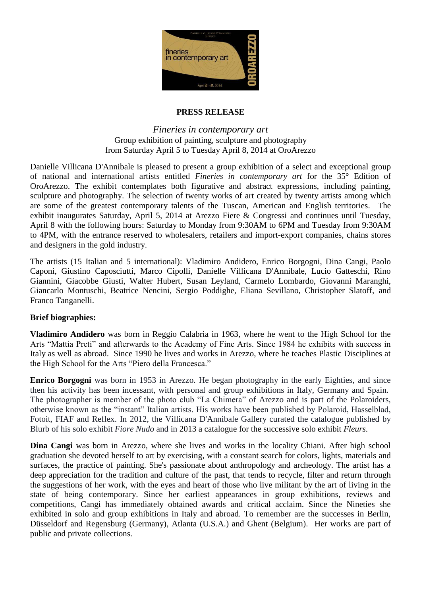

### **PRESS RELEASE**

## *Fineries in contemporary art*  Group exhibition of painting, sculpture and photography from Saturday April 5 to Tuesday April 8, 2014 at OroArezzo

Danielle Villicana D'Annibale is pleased to present a group exhibition of a select and exceptional group of national and international artists entitled *Fineries in contemporary art* for the 35° Edition of OroArezzo. The exhibit contemplates both figurative and abstract expressions, including painting, sculpture and photography. The selection of twenty works of art created by twenty artists among which are some of the greatest contemporary talents of the Tuscan, American and English territories. The exhibit inaugurates Saturday, April 5, 2014 at Arezzo Fiere & Congressi and continues until Tuesday, April 8 with the following hours: Saturday to Monday from 9:30AM to 6PM and Tuesday from 9:30AM to 4PM, with the entrance reserved to wholesalers, retailers and import-export companies, chains stores and designers in the gold industry.

The artists (15 Italian and 5 international): Vladimiro Andidero, Enrico Borgogni, Dina Cangi, Paolo Caponi, Giustino Caposciutti, Marco Cipolli, Danielle Villicana D'Annibale, Lucio Gatteschi, Rino Giannini, Giacobbe Giusti, Walter Hubert, Susan Leyland, Carmelo Lombardo, Giovanni Maranghi, Giancarlo Montuschi, Beatrice Nencini, Sergio Poddighe, Eliana Sevillano, Christopher Slatoff, and Franco Tanganelli.

## **Brief biographies:**

**Vladimiro Andidero** was born in Reggio Calabria in 1963, where he went to the High School for the Arts "Mattia Preti" and afterwards to the Academy of Fine Arts. Since 1984 he exhibits with success in Italy as well as abroad. Since 1990 he lives and works in Arezzo, where he teaches Plastic Disciplines at the High School for the Arts "Piero della Francesca."

**Enrico Borgogni** was born in 1953 in Arezzo. He began photography in the early Eighties, and since then his activity has been incessant, with personal and group exhibitions in Italy, Germany and Spain. The photographer is member of the photo club "La Chimera" of Arezzo and is part of the Polaroiders, otherwise known as the "instant" Italian artists. His works have been published by Polaroid, Hasselblad, Fotoit, FIAF and Reflex. In 2012, the Villicana D'Annibale Gallery curated the catalogue published by Blurb of his solo exhibit *Fiore Nudo* and in 2013 a catalogue for the successive solo exhibit *Fleurs*.

**Dina Cangi** was born in Arezzo, where she lives and works in the locality Chiani. After high school graduation she devoted herself to art by exercising, with a constant search for colors, lights, materials and surfaces, the practice of painting. She's passionate about anthropology and archeology. The artist has a deep appreciation for the tradition and culture of the past, that tends to recycle, filter and return through the suggestions of her work, with the eyes and heart of those who live militant by the art of living in the state of being contemporary. Since her earliest appearances in group exhibitions, reviews and competitions, Cangi has immediately obtained awards and critical acclaim. Since the Nineties she exhibited in solo and group exhibitions in Italy and abroad. To remember are the successes in Berlin, Düsseldorf and Regensburg (Germany), Atlanta (U.S.A.) and Ghent (Belgium). Her works are part of public and private collections.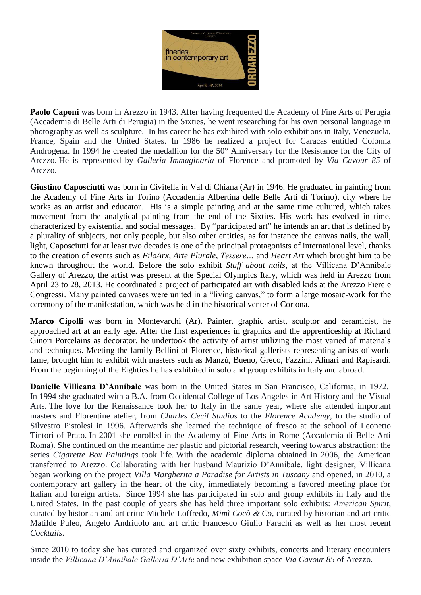

**Paolo Caponi** was born in Arezzo in 1943. After having frequented the Academy of Fine Arts of Perugia (Accademia di Belle Arti di Perugia) in the Sixties, he went researching for his own personal language in photography as well as sculpture. In his career he has exhibited with solo exhibitions in Italy, Venezuela, France, Spain and the United States. In 1986 he realized a project for Caracas entitled Colonna Androgena. In 1994 he created the medallion for the 50° Anniversary for the Resistance for the City of Arezzo. He is represented by *Galleria Immaginaria* of Florence and promoted by *Via Cavour 85* of Arezzo.

**Giustino Caposciutti** was born in Civitella in Val di Chiana (Ar) in 1946. He graduated in painting from the Academy of Fine Arts in Torino (Accademia Albertina delle Belle Arti di Torino), city where he works as an artist and educator. His is a simple painting and at the same time cultured, which takes movement from the analytical painting from the end of the Sixties. His work has evolved in time, characterized by existential and social messages. By "participated art" he intends an art that is defined by a plurality of subjects, not only people, but also other entities, as for instance the canvas nails, the wall, light, Caposciutti for at least two decades is one of the principal protagonists of international level, thanks to the creation of events such as *FiloArx*, *Arte Plurale*, *Tessere…* and *Heart Art* which brought him to be known throughout the world. Before the solo exhibit *Stuff about nails*, at the Villicana D'Annibale Gallery of Arezzo, the artist was present at the Special Olympics Italy, which was held in Arezzo from April 23 to 28, 2013. He coordinated a project of participated art with disabled kids at the Arezzo Fiere e Congressi. Many painted canvases were united in a "living canvas," to form a large mosaic-work for the ceremony of the manifestation, which was held in the historical venter of Cortona.

**Marco Cipolli** was born in Montevarchi (Ar). Painter, graphic artist, sculptor and ceramicist, he approached art at an early age. After the first experiences in graphics and the apprenticeship at Richard Ginori Porcelains as decorator, he undertook the activity of artist utilizing the most varied of materials and techniques. Meeting the family Bellini of Florence, historical gallerists representing artists of world fame, brought him to exhibit with masters such as Manzù, Bueno, Greco, Fazzini, Alinari and Rapisardi. From the beginning of the Eighties he has exhibited in solo and group exhibits in Italy and abroad.

**Danielle Villicana D'Annibale** was born in the United States in San Francisco, California, in 1972. In 1994 she graduated with a B.A. from Occidental College of Los Angeles in Art History and the Visual Arts. The love for the Renaissance took her to Italy in the same year, where she attended important masters and Florentine atelier, from *Charles Cecil Studios* to the *Florence Academy*, to the studio of Silvestro Pistolesi in 1996. Afterwards she learned the technique of fresco at the school of Leonetto Tintori of Prato. In 2001 she enrolled in the Academy of Fine Arts in Rome (Accademia di Belle Arti Roma). She continued on the meantime her plastic and pictorial research, veering towards abstraction: the series *Cigarette Box Paintings* took life. With the academic diploma obtained in 2006, the American transferred to Arezzo. Collaborating with her husband Maurizio D'Annibale, light designer, Villicana began working on the project *Villa Margherita a Paradise for Artists in Tuscany* and opened, in 2010, a contemporary art gallery in the heart of the city, immediately becoming a favored meeting place for Italian and foreign artists. Since 1994 she has participated in solo and group exhibits in Italy and the United States. In the past couple of years she has held three important solo exhibits: *American Spirit*, curated by historian and art critic Michele Loffredo, *Mimì Cocò & Co*, curated by historian and art critic Matilde Puleo, Angelo Andriuolo and art critic Francesco Giulio Farachi as well as her most recent *Cocktails*.

Since 2010 to today she has curated and organized over sixty exhibits, concerts and literary encounters inside the *Villicana D'Annibale Galleria D'Arte* and new exhibition space *Via Cavour 85* of Arezzo.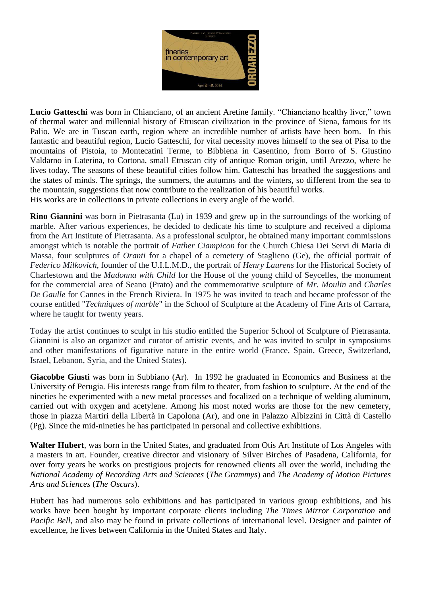

**Lucio Gatteschi** was born in Chianciano, of an ancient Aretine family. "Chianciano healthy liver," town of thermal water and millennial history of Etruscan civilization in the province of Siena, famous for its Palio. We are in Tuscan earth, region where an incredible number of artists have been born. In this fantastic and beautiful region, Lucio Gatteschi, for vital necessity moves himself to the sea of Pisa to the mountains of Pistoia, to Montecatini Terme, to Bibbiena in Casentino, from Borro of S. Giustino Valdarno in Laterina, to Cortona, small Etruscan city of antique Roman origin, until Arezzo, where he lives today. The seasons of these beautiful cities follow him. Gatteschi has breathed the suggestions and the states of minds. The springs, the summers, the autumns and the winters, so different from the sea to the mountain, suggestions that now contribute to the realization of his beautiful works. His works are in collections in private collections in every angle of the world.

**Rino Giannini** was born in Pietrasanta (Lu) in 1939 and grew up in the surroundings of the working of marble. After various experiences, he decided to dedicate his time to sculpture and received a diploma from the Art Institute of Pietrasanta. As a professional sculptor, he obtained many important commissions amongst which is notable the portrait of *Father Ciampicon* for the Church Chiesa Dei Servi di Maria di Massa, four sculptures of *Oranti* for a chapel of a cemetery of Staglieno (Ge), the official portrait of *Federico Milkovich*, founder of the U.I.L.M.D., the portrait of *Henry Laurens* for the Historical Society of Charlestown and the *Madonna with Child* for the House of the young child of Seycelles, the monument for the commercial area of Seano (Prato) and the commemorative sculpture of *Mr. Moulin* and *Charles De Gaulle* for Cannes in the French Riviera. In 1975 he was invited to teach and became professor of the course entitled "*Techniques of marble*" in the School of Sculpture at the Academy of Fine Arts of Carrara, where he taught for twenty years.

Today the artist continues to sculpt in his studio entitled the Superior School of Sculpture of Pietrasanta. Giannini is also an organizer and curator of artistic events, and he was invited to sculpt in symposiums and other manifestations of figurative nature in the entire world (France, Spain, Greece, Switzerland, Israel, Lebanon, Syria, and the United States).

**Giacobbe Giusti** was born in Subbiano (Ar). In 1992 he graduated in Economics and Business at the University of Perugia. His interests range from film to theater, from fashion to sculpture. At the end of the nineties he experimented with a new metal processes and focalized on a technique of welding aluminum, carried out with oxygen and acetylene. Among his most noted works are those for the new cemetery, those in piazza Martiri della Libertà in Capolona (Ar), and one in Palazzo Albizzini in Città di Castello (Pg). Since the mid-nineties he has participated in personal and collective exhibitions.

**Walter Hubert**, was born in the United States, and graduated from Otis Art Institute of Los Angeles with a masters in art. Founder, creative director and visionary of Silver Birches of Pasadena, California, for over forty years he works on prestigious projects for renowned clients all over the world, including the *National Academy of Recording Arts and Sciences* (*The Grammys*) and *The Academy of Motion Pictures Arts and Sciences* (*The Oscars*).

Hubert has had numerous solo exhibitions and has participated in various group exhibitions, and his works have been bought by important corporate clients including *The Times Mirror Corporation* and *Pacific Bell*, and also may be found in private collections of international level. Designer and painter of excellence, he lives between California in the United States and Italy.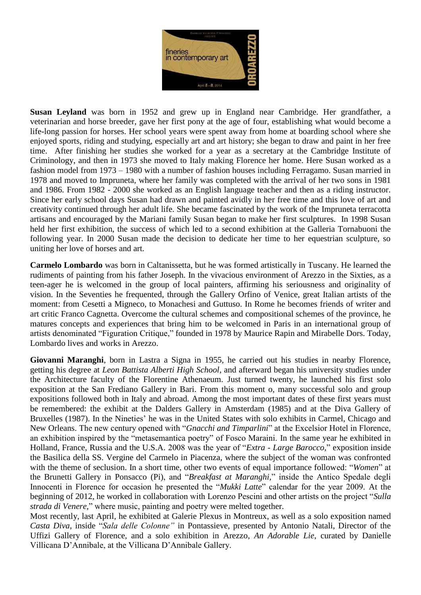

**Susan Leyland** was born in 1952 and grew up in England near Cambridge. Her grandfather, a veterinarian and horse breeder, gave her first pony at the age of four, establishing what would become a life-long passion for horses. Her school years were spent away from home at boarding school where she enjoyed sports, riding and studying, especially art and art history; she began to draw and paint in her free time. After finishing her studies she worked for a year as a secretary at the Cambridge Institute of Criminology, and then in 1973 she moved to Italy making Florence her home. Here Susan worked as a fashion model from 1973 – 1980 with a number of fashion houses including Ferragamo. Susan married in 1978 and moved to Impruneta, where her family was completed with the arrival of her two sons in 1981 and 1986. From 1982 - 2000 she worked as an English language teacher and then as a riding instructor. Since her early school days Susan had drawn and painted avidly in her free time and this love of art and creativity continued through her adult life. She became fascinated by the work of the Impruneta terracotta artisans and encouraged by the Mariani family Susan began to make her first sculptures. In 1998 Susan held her first exhibition, the success of which led to a second exhibition at the Galleria Tornabuoni the following year. In 2000 Susan made the decision to dedicate her time to her equestrian sculpture, so uniting her love of horses and art.

**Carmelo Lombardo** was born in Caltanissetta, but he was formed artistically in Tuscany. He learned the rudiments of painting from his father Joseph. In the vivacious environment of Arezzo in the Sixties, as a teen-ager he is welcomed in the group of local painters, affirming his seriousness and originality of vision. In the Seventies he frequented, through the Gallery Orfino of Venice, great Italian artists of the moment: from Cesetti a Migneco, to Monachesi and Guttuso. In Rome he becomes friends of writer and art critic Franco Cagnetta. Overcome the cultural schemes and compositional schemes of the province, he matures concepts and experiences that bring him to be welcomed in Paris in an international group of artists denominated "Figuration Critique," founded in 1978 by Maurice Rapin and Mirabelle Dors. Today, Lombardo lives and works in Arezzo.

**Giovanni Maranghi**, born in Lastra a Signa in 1955, he carried out his studies in nearby Florence, getting his degree at *Leon Battista Alberti High School*, and afterward began his university studies under the Architecture faculty of the Florentine Athenaeum. Just turned twenty, he launched his first solo exposition at the San Frediano Gallery in Bari. From this moment o, many successful solo and group expositions followed both in Italy and abroad. Among the most important dates of these first years must be remembered: the exhibit at the Dalders Gallery in Amsterdam (1985) and at the Diva Gallery of Bruxelles (1987). In the Nineties' he was in the United States with solo exhibits in Carmel, Chicago and New Orleans. The new century opened with "*Gnacchi and Timparlini*" at the Excelsior Hotel in Florence, an exhibition inspired by the "metasemantica poetry" of Fosco Maraini. In the same year he exhibited in Holland, France, Russia and the U.S.A. 2008 was the year of "*Extra - Large Barocco,*" exposition inside the Basilica della SS. Vergine del Carmelo in Piacenza, where the subject of the woman was confronted with the theme of seclusion. In a short time, other two events of equal importance followed: "*Women*" at the Brunetti Gallery in Ponsacco (Pi), and "*Breakfast at Maranghi,*" inside the Antico Spedale degli Innocenti in Florence for occasion he presented the "*Mukki Latte*" calendar for the year 2009. At the beginning of 2012, he worked in collaboration with Lorenzo Pescini and other artists on the project "*Sulla strada di Venere,*" where music, painting and poetry were melted together.

Most recently, last April, he exhibited at Galerie Plexus in Montreux, as well as a solo exposition named *Casta Diva*, inside "*Sala delle Colonne"* in Pontassieve, presented by Antonio Natali, Director of the Uffizi Gallery of Florence, and a solo exhibition in Arezzo, *An Adorable Lie,* curated by Danielle Villicana D'Annibale, at the Villicana D'Annibale Gallery.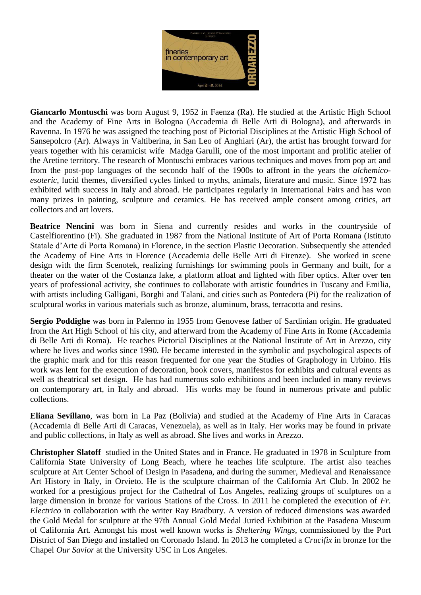

**Giancarlo Montuschi** was born August 9, 1952 in Faenza (Ra). He studied at the Artistic High School and the Academy of Fine Arts in Bologna (Accademia di Belle Arti di Bologna), and afterwards in Ravenna. In 1976 he was assigned the teaching post of Pictorial Disciplines at the Artistic High School of Sansepolcro (Ar). Always in Valtiberina, in San Leo of Anghiari (Ar), the artist has brought forward for years together with his ceramicist wife Madga Garulli, one of the most important and prolific atelier of the Aretine territory. The research of Montuschi embraces various techniques and moves from pop art and from the post-pop languages of the secondo half of the 1900s to affront in the years the *alchemicoesoteric*, lucid themes, diversified cycles linked to myths, animals, literature and music. Since 1972 has exhibited with success in Italy and abroad. He participates regularly in International Fairs and has won many prizes in painting, sculpture and ceramics. He has received ample consent among critics, art collectors and art lovers.

**Beatrice Nencini** was born in Siena and currently resides and works in the countryside of Castelfiorentino (Fi). She graduated in 1987 from the National Institute of Art of Porta Romana (Istituto Statale d'Arte di Porta Romana) in Florence, in the section Plastic Decoration. Subsequently she attended the Academy of Fine Arts in Florence (Accademia delle Belle Arti di Firenze). She worked in scene design with the firm Scenotek, realizing furnishings for swimming pools in Germany and built, for a theater on the water of the Costanza lake, a platform afloat and lighted with fiber optics. After over ten years of professional activity, she continues to collaborate with artistic foundries in Tuscany and Emilia, with artists including Galligani, Borghi and Talani, and cities such as Pontedera (Pi) for the realization of sculptural works in various materials such as bronze, aluminum, brass, terracotta and resins.

**Sergio Poddighe** was born in Palermo in 1955 from Genovese father of Sardinian origin. He graduated from the Art High School of his city, and afterward from the Academy of Fine Arts in Rome (Accademia di Belle Arti di Roma). He teaches Pictorial Disciplines at the National Institute of Art in Arezzo, city where he lives and works since 1990. He became interested in the symbolic and psychological aspects of the graphic mark and for this reason frequented for one year the Studies of Graphology in Urbino. His work was lent for the execution of decoration, book covers, manifestos for exhibits and cultural events as well as theatrical set design. He has had numerous solo exhibitions and been included in many reviews on contemporary art, in Italy and abroad. His works may be found in numerous private and public collections.

**Eliana Sevillano**, was born in La Paz (Bolivia) and studied at the Academy of Fine Arts in Caracas (Accademia di Belle Arti di Caracas, Venezuela), as well as in Italy. Her works may be found in private and public collections, in Italy as well as abroad. She lives and works in Arezzo.

**Christopher Slatoff** studied in the United States and in France. He graduated in 1978 in Sculpture from California State University of Long Beach, where he teaches life sculpture. The artist also teaches sculpture at Art Center School of Design in Pasadena, and during the summer, Medieval and Renaissance Art History in Italy, in Orvieto. He is the sculpture chairman of the California Art Club. In 2002 he worked for a prestigious project for the Cathedral of Los Angeles, realizing groups of sculptures on a large dimension in bronze for various Stations of the Cross. In 2011 he completed the execution of *Fr. Electrico* in collaboration with the writer Ray Bradbury. A version of reduced dimensions was awarded the Gold Medal for sculpture at the 97th Annual Gold Medal Juried Exhibition at the Pasadena Museum of California Art. Amongst his most well known works is *Sheltering Wings*, commissioned by the Port District of San Diego and installed on Coronado Island. In 2013 he completed a *Crucifix* in bronze for the Chapel *Our Savior* at the University USC in Los Angeles.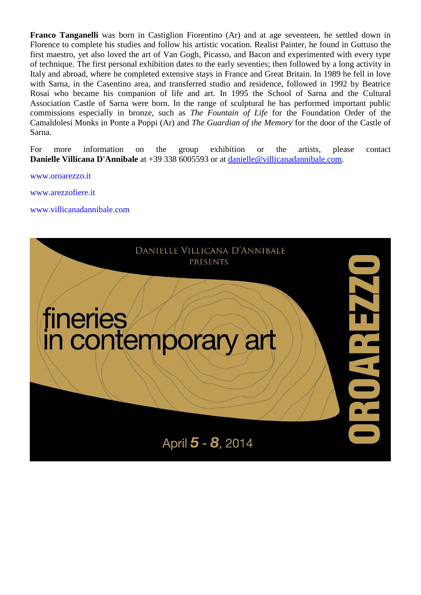**Franco Tanganelli** was born in Castiglion Fiorentino (Ar) and at age seventeen, he settled down in Florence to complete his studies and follow his artistic vocation. Realist Painter, he found in Guttuso the first maestro, yet also loved the art of Van Gogh, Picasso, and Bacon and experimented with every type of technique. The first personal exhibition dates to the early seventies; then followed by a long activity in Italy and abroad, where he completed extensive stays in France and Great Britain. In 1989 he fell in love with Sarna, in the Casentino area, and transferred studio and residence, followed in 1992 by Beatrice Rosai who became his companion of life and art. In 1995 the School of Sarna and the Cultural Association Castle of Sarna were born. In the range of sculptural he has performed important public commissions especially in bronze, such as *The Fountain of Life* for the Foundation Order of the Camaldolesi Monks in Ponte a Poppi (Ar) and *The Guardian of the Memory* for the door of the Castle of Sarna.

For more information on the group exhibition or the artists, please contact **Danielle Villicana D'Annibale** at +39 338 6005593 or at [danielle@villicanadannibale.com.](mailto:danielle@villicanadannibale.com)

[www.oroarezzo.it](http://www.oroarezzo.it/)

[www.arezzofiere.it](http://www.arezzofiere.it/)

[www.villicanadannibale.com](http://www.villicanadannibale.com/)